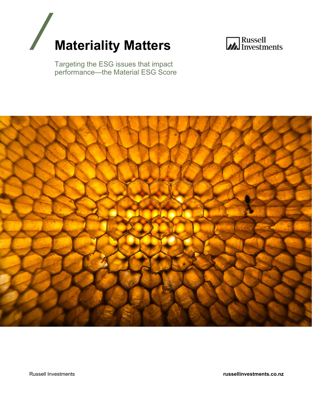



Targeting the ESG issues that impact performance—the Material ESG Score



Russell Investments **russellinvestments.co.nz**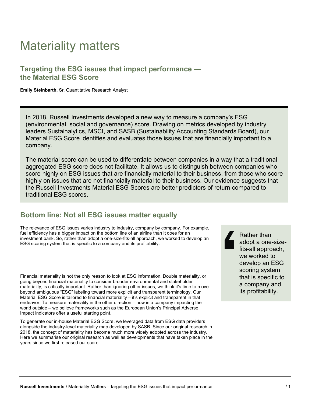## Materiality matters

## **Targeting the ESG issues that impact performance the Material ESG Score**

**Emily Steinbarth,** Sr. Quantitative Research Analyst

In 2018, Russell Investments developed a new way to measure a company's ESG (environmental, social and governance) score. Drawing on metrics developed by industry leaders Sustainalytics, MSCI, and SASB (Sustainability Accounting Standards Board), our Material ESG Score identifies and evaluates those issues that are financially important to a company.

The material score can be used to differentiate between companies in a way that a traditional aggregated ESG score does not facilitate. It allows us to distinguish between companies who score highly on ESG issues that are financially material to their business, from those who score highly on issues that are not financially material to their business. Our evidence suggests that the Russell Investments Material ESG Scores are better predictors of return compared to traditional ESG scores.

## **Bottom line: Not all ESG issues matter equally**

The relevance of ESG issues varies industry to industry, company by company. For example, fuel efficiency has a bigger impact on the bottom line of an airline than it does for an investment bank. So, rather than adopt a one-size-fits-all approach, we worked to develop an ESG scoring system that is specific to a company and its profitability.

Financial materiality is not the only reason to look at ESG information. Double materiality, or going beyond financial materiality to consider broader environmental and stakeholder materiality, is critically important. Rather than ignoring other issues, we think it's time to move beyond ambiguous "ESG" labeling toward more explicit and transparent terminology. Our Material ESG Score is tailored to financial materiality – it's explicit and transparent in that endeavor. To measure materiality in the other direction – how is a company impacting the world outside – we believe frameworks such as the European Union's Principal Adverse Impact indicators offer a useful starting point.

To generate our in-house Material ESG Score, we leveraged data from ESG data providers alongside the industry-level materiality map developed by SASB. Since our original research in 2018, the concept of materiality has become much more widely adopted across the industry. Here we summarise our original research as well as developments that have taken place in the years since we first released our score.

Rather than adopt a one-sizefits-all approach, we worked to develop an ESG scoring system that is specific to a company and its profitability.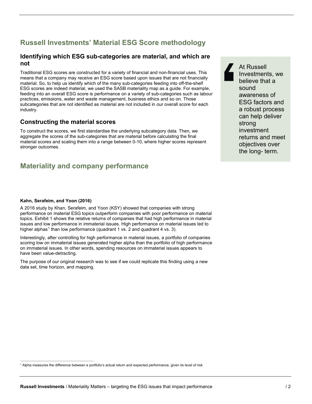## **Russell Investments' Material ESG Score methodology**

### **Identifying which ESG sub-categories are material, and which are not**

Traditional ESG scores are constructed for a variety of financial and non-financial uses. This means that a company may receive an ESG score based upon issues that are not financially material. So, to help us identify which of the many sub-categories feeding into off-the-shelf ESG scores are indeed material, we used the SASB materiality map as a guide. For example, feeding into an overall ESG score is performance on a variety of sub-categories such as labour practices, emissions, water and waste management, business ethics and so on. Those subcategories that are not identified as material are not included in our overall score for each industry.

### **Constructing the material scores**

To construct the scores, we first standardise the underlying subcategory data. Then, we aggregate the scores of the sub-categories that are material before calculating the final material scores and scaling them into a range between 0-10, where higher scores represent stronger outcomes.

## **Materiality and company performance**

At Russell Investments, we believe that a sound awareness of ESG factors and a robust process can help deliver strong investment returns and meet objectives over the long- term.

#### **Kahn, Serafeim, and Yoon (2016)**

A 2016 study by Khan, Serafeim, and Yoon (KSY) showed that companies with strong performance on material ESG topics outperform companies with poor performance on material topics. Exhibit 1 shows the relative returns of companies that had high performance in material issues and low performance in immaterial issues. High performance on material issues led to higher alphas<sup>[1](#page-2-0)</sup> than low performance (quadrant 1 vs. 2 and quadrant 4 vs. 3).

Interestingly, after controlling for high performance in material issues, a portfolio of companies scoring low on immaterial issues generated higher alpha than the portfolio of high performance on immaterial issues. In other words, spending resources on immaterial issues appears to have been value-detracting.

The purpose of our original research was to see if we could replicate this finding using a new data set, time horizon, and mapping.

<span id="page-2-0"></span><sup>1</sup> Alpha measures the difference between a portfolio's actual return and expected performance, given its level of risk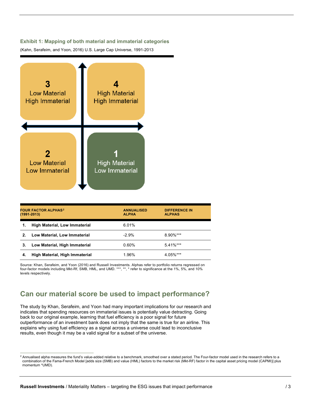#### **Exhibit 1: Mapping of both material and immaterial categories**

(Kahn, Serafeim, and Yoon, 2016) U.S. Large Cap Universe, 1991-2013



| <b>FOUR FACTOR ALPHAS<sup>2</sup></b><br>$(1991 - 2013)$ |                                      | <b>ANNUALISED</b><br><b>ALPHA</b> | <b>DIFFERENCE IN</b><br><b>ALPHAS</b> |
|----------------------------------------------------------|--------------------------------------|-----------------------------------|---------------------------------------|
| 1.                                                       | <b>High Material, Low Immaterial</b> | 6.01%                             |                                       |
| 2.                                                       | Low Material, Low Immaterial         | $-2.9%$                           | $8.90\%$ ***                          |
| 3.                                                       | Low Material, High Immaterial        | 0.60%                             | $5.41\%***$                           |
| 4.                                                       | High Material, High Immaterial       | 1.96%                             | 4.05%***                              |

Source: Khan, Serafeim, and Yoon (2016) and Russell Investments. Alphas refer to portfolio returns regressed on four-factor models including Mkt-Rf, SMB, HML, and UMD. \*\*\*, \*\*, \* refer to significance at the 1%, 5%, and 10% levels respectively.

## **Can our material score be used to impact performance?**

The study by Khan, Serafeim, and Yoon had many important implications for our research and indicates that spending resources on immaterial issues is potentially value detracting. Going back to our original example, learning that fuel efficiency is a poor signal for future outperformance of an investment bank does not imply that the same is true for an airline. This explains why using fuel efficiency as a signal across a universe could lead to inconclusive results, even though it may be a valid signal for a subset of the universe.

<span id="page-3-0"></span><sup>&</sup>lt;sup>2</sup> Annualised alpha measures the fund's value-added relative to a benchmark, smoothed over a stated period. The Four-factor model used in the research refers to a combination of the Fama-French Model [adds size (SMB) and value (HML) factors to the market risk (Mkt-RF) factor in the capital asset pricing model (CAPMI)] plus momentum \*UMD).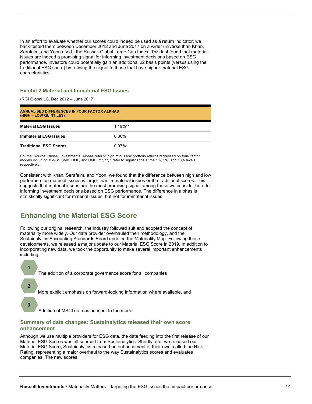In an effort to evaluate whether our scores could indeed be used as a return indicator, we back-tested them between December 2012 and June 2017 on a wider universe than Khan, Serafeim, and Yoon used - the Russell Global Large Cap Index. This test found that material issues are indeed a promising signal for informing investment decisions based on ESG performance. Investors could potentially gain an additional 22 basis points (versus using the traditional ESG score) by refining the signal to those that have higher material ESG characteristics.

#### **Exhibit 2 Material and Immaterial ESG Issues**

(RGI Global LC, Dec 2012 – June 2017)

| ANNUALISED DIFFERENCES IN FOUR FACTOR ALPHAS<br>(HIGH – LOW QUINTILES) |            |  |  |  |
|------------------------------------------------------------------------|------------|--|--|--|
| <b>Material ESG Issues</b>                                             | $1.19\%**$ |  |  |  |
| <b>Immaterial ESG Issues</b>                                           | 0.30%      |  |  |  |
| <b>Traditional ESG Scores</b>                                          | $0.97\%$ * |  |  |  |

Source: Source: Russell Investments. Alphas refer to high minus low portfolio returns regressed on four- factor models including Mkt-Rf, SMB, HML, and UMD. \*\*\*, \*\*, \* refer to significance at the 1%, 5%, and 10% levels respectively.

Consistent with Khan, Serafeim, and Yoon, we found that the difference between high and low performers on material issues is larger than immaterial issues or the traditional scores. This suggests that material issues are the most promising signal among those we consider here for informing investment decisions based on ESG performance. The difference in alphas is statistically significant for material issues, but not for immaterial issues.

## **Enhancing the Material ESG Score**

Following our original research, the industry followed suit and adopted the concept of materiality more widely. Our data provider overhauled their methodology, and the Sustainalytics Accounting Standards Board updated the Materiality Map. Following these developments, we released a major update to our Material ESG Score in 2019. In addition to incorporating new data, we took the opportunity to make several important enhancements including:



Addition of MSCI data as an input to the model

#### **Summary of data changes: Sustainalytics released their own score enhancement**

Although we use multiple providers for ESG data, the data feeding into the first release of our Material ESG Scores was all sourced from Sustainalytics. Shortly after we released our Material ESG Score, Sustainalytics released an enhancement of their own, called the Risk Rating, representing a major overhaul to the way Sustainalytics scores and evaluates companies. The new scores: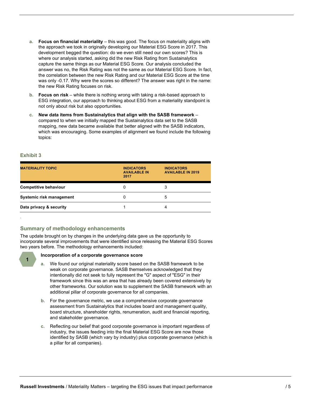- **a. Focus on financial materiality** this was good. The focus on materiality aligns with the approach we took in originally developing our Material ESG Score in 2017. This development begged the question: do we even still need our own scores? This is where our analysis started, asking did the new Risk Rating from Sustainalytics capture the same things as our Material ESG Score. Our analysis concluded the answer was no, the Risk Rating was not the same as our Material ESG Score. In fact, the correlation between the new Risk Rating and our Material ESG Score at the time was only -0.17. Why were the scores so different? The answer was right in the name: the new Risk Rating focuses on risk.
- **b. Focus on risk** while there is nothing wrong with taking a risk-based approach to ESG integration, our approach to thinking about ESG from a materiality standpoint is not only about risk but also opportunities.
- **c. New data items from Sustainalytics that align with the SASB framework** compared to when we initially mapped the Sustainalytics data set to the SASB mapping, new data became available that better aligned with the SASB indicators, which was encouraging. Some examples of alignment we found include the following topics:

.

**1**

| <b>MATERIALITY TOPIC</b>     | <b>INDICATORS</b><br><b>AVAILABLE IN</b><br>2017 | <b>INDICATORS</b><br><b>AVAILABLE IN 2019</b> |
|------------------------------|--------------------------------------------------|-----------------------------------------------|
| <b>Competitive behaviour</b> | 0                                                | 3                                             |
| Systemic risk management     | 0                                                | 5                                             |
| Data privacy & security      |                                                  |                                               |

#### **Summary of methodology enhancements**

The update brought on by changes in the underlying data gave us the opportunity to incorporate several improvements that were identified since releasing the Material ESG Scores two years before. The methodology enhancements included:

#### **Incorporation of a corporate governance score**

- **a.** We found our original materiality score based on the SASB framework to be weak on corporate governance. SASB themselves acknowledged that they intentionally did not seek to fully represent the "G" aspect of "ESG" in their framework since this was an area that has already been covered extensively by other frameworks. Our solution was to supplement the SASB framework with an additional pillar of corporate governance for all companies.
- **b.** For the governance metric, we use a comprehensive corporate governance assessment from Sustainalytics that includes board and management quality, board structure, shareholder rights, renumeration, audit and financial reporting, and stakeholder governance.
- **c.** Reflecting our belief that good corporate governance is important regardless of industry, the issues feeding into the final Material ESG Score are now those identified by SASB (which vary by industry) plus corporate governance (which is a pillar for all companies).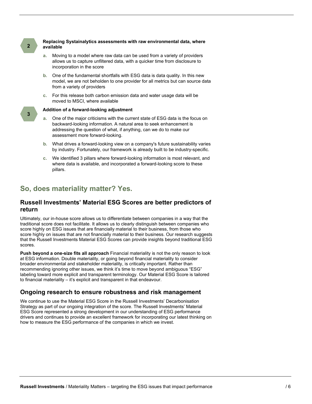#### **Replacing Systainalytics assessments with raw environmental data, where available**

- **a.** Moving to a model where raw data can be used from a variety of providers allows us to capture unfiltered data, with a quicker time from disclosure to incorporation in the score
- **b.** One of the fundamental shortfalls with ESG data is data quality. In this new model, we are not beholden to one provider for all metrics but can source data from a variety of providers
- **c.** For this release both carbon emission data and water usage data will be moved to MSCI, where available

**2**

**3**

#### **Addition of a forward-looking adjustment**

- **a.** One of the major criticisms with the current state of ESG data is the focus on backward-looking information. A natural area to seek enhancement is addressing the question of what, if anything, can we do to make our assessment more forward-looking.
- **b.** What drives a forward-looking view on a company's future sustainability varies by industry. Fortunately, our framework is already built to be industry-specific.
- **c.** We identified 3 pillars where forward-looking information is most relevant, and where data is available, and incorporated a forward-looking score to these pillars.

## **So, does materiality matter? Yes.**

#### **Russell Investments' Material ESG Scores are better predictors of return**

Ultimately, our in-house score allows us to differentiate between companies in a way that the traditional score does not facilitate. It allows us to clearly distinguish between companies who score highly on ESG issues that are financially material to their business, from those who score highly on issues that are not financially material to their business. Our research suggests that the Russell Investments Material ESG Scores can provide insights beyond traditional ESG scores.

**Push beyond a one-size fits all approach** Financial materiality is not the only reason to look at ESG information. Double materiality, or going beyond financial materiality to consider broader environmental and stakeholder materiality, is critically important. Rather than recommending ignoring other issues, we think it's time to move beyond ambiguous "ESG" labeling toward more explicit and transparent terminology. Our Material ESG Score is tailored to financial materiality – it's explicit and transparent in that endeavour.

#### **Ongoing research to ensure robustness and risk management**

We continue to use the Material ESG Score in the Russell Investments' Decarbonisation Strategy as part of our ongoing integration of the score. The Russell Investments' Material ESG Score represented a strong development in our understanding of ESG performance drivers and continues to provide an excellent framework for incorporating our latest thinking on how to measure the ESG performance of the companies in which we invest.